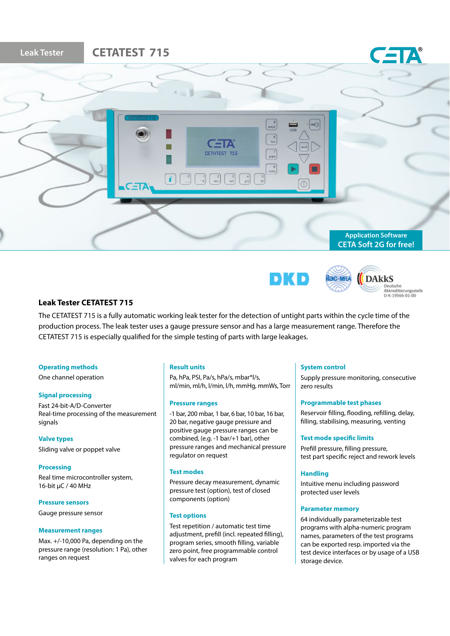





Deutsche<br>Akkreditierungsstelle<br>D-K-19566-01-00

# **Leak Tester CETATEST 715**

The CETATEST 715 is a fully automatic working leak tester for the detection of untight parts within the cycle time of the production process. The leak tester uses a gauge pressure sensor and has a large measurement range. Therefore the CETATEST 715 is especially qualified for the simple testing of parts with large leakages.

### **Operating methods**

One channel operation

### **Signal processing**

Fast 24-bit-A/D-Converter Real-time processing of the measurement signals

**Valve types**  Sliding valve or poppet valve

**Processing** Real time microcontroller system, 16-bit µC / 40 MHz

**Pressure sensors** Gauge pressure sensor

### **Measurement ranges**

Max. +/-10,000 Pa, depending on the pressure range (resolution: 1 Pa), other ranges on request

### **Result units**

Pa, hPa, PSI, Pa/s, hPa/s, mbar\*l/s, ml/min, ml/h, l/min, l/h, mmHg, mmWs, Torr

# **Pressure ranges**

-1 bar, 200 mbar, 1 bar, 6 bar, 10 bar, 16 bar, 20 bar, negative gauge pressure and positive gauge pressure ranges can be combined, (e.g. -1 bar/+1 bar), other pressure ranges and mechanical pressure regulator on request

### **Test modes**

Pressure decay measurement, dynamic pressure test (option), test of closed components (option)

### **Test options**

Test repetition / automatic test time adiustment, prefill (incl. repeated filling), program series, smooth filling, variable zero point, free programmable control valves for each program

# **System control**

Supply pressure monitoring, consecutive zero results

### **Programmable test phases**

Reservoir filling, flooding, refilling, delay, filling, stabilising, measuring, venting

### **Test mode specific limits**

Prefill pressure, filling pressure, test part specific reject and rework levels

### **Handling**

Intuitive menu including password protected user levels

# **Parameter memory**

64 individually parameterizable test programs with alpha-numeric program names, parameters of the test programs can be exported resp. imported via the test device interfaces or by usage of a USB storage device.